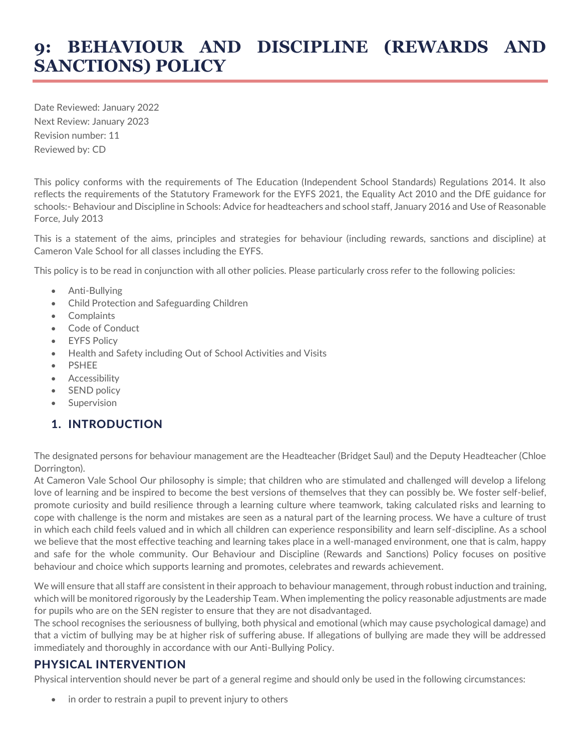## **9: BEHAVIOUR AND DISCIPLINE (REWARDS AND SANCTIONS) POLICY**

Date Reviewed: January 2022 Next Review: January 2023 Revision number: 11 Reviewed by: CD

This policy conforms with the requirements of The Education (Independent School Standards) Regulations 2014. It also reflects the requirements of the Statutory Framework for the EYFS 2021, the Equality Act 2010 and the DfE guidance for schools:- Behaviour and Discipline in Schools: Advice for headteachers and school staff, January 2016 and Use of Reasonable Force, July 2013

This is a statement of the aims, principles and strategies for behaviour (including rewards, sanctions and discipline) at Cameron Vale School for all classes including the EYFS.

This policy is to be read in conjunction with all other policies. Please particularly cross refer to the following policies:

- Anti-Bullying
- Child Protection and Safeguarding Children
- Complaints
- Code of Conduct
- **EYFS Policy**
- Health and Safety including Out of School Activities and Visits
- **PSHEE**
- **Accessibility**
- SEND policy
- **Supervision**

#### 1. INTRODUCTION

The designated persons for behaviour management are the Headteacher (Bridget Saul) and the Deputy Headteacher (Chloe Dorrington).

At Cameron Vale School Our philosophy is simple; that children who are stimulated and challenged will develop a lifelong love of learning and be inspired to become the best versions of themselves that they can possibly be. We foster self-belief, promote curiosity and build resilience through a learning culture where teamwork, taking calculated risks and learning to cope with challenge is the norm and mistakes are seen as a natural part of the learning process. We have a culture of trust in which each child feels valued and in which all children can experience responsibility and learn self-discipline. As a school we believe that the most effective teaching and learning takes place in a well-managed environment, one that is calm, happy and safe for the whole community. Our Behaviour and Discipline (Rewards and Sanctions) Policy focuses on positive behaviour and choice which supports learning and promotes, celebrates and rewards achievement.

We will ensure that all staff are consistent in their approach to behaviour management, through robust induction and training, which will be monitored rigorously by the Leadership Team. When implementing the policy reasonable adjustments are made for pupils who are on the SEN register to ensure that they are not disadvantaged.

The school recognises the seriousness of bullying, both physical and emotional (which may cause psychological damage) and that a victim of bullying may be at higher risk of suffering abuse. If allegations of bullying are made they will be addressed immediately and thoroughly in accordance with our Anti-Bullying Policy.

#### PHYSICAL INTERVENTION

Physical intervention should never be part of a general regime and should only be used in the following circumstances:

in order to restrain a pupil to prevent injury to others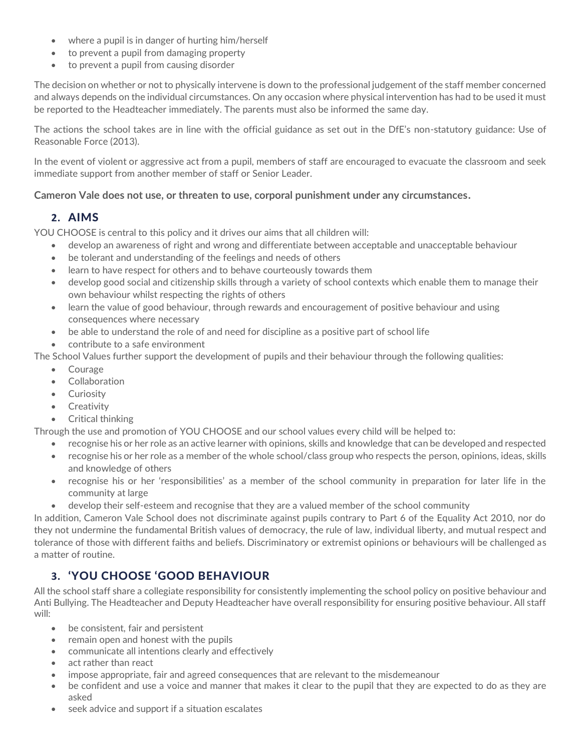- where a pupil is in danger of hurting him/herself
- to prevent a pupil from damaging property
- to prevent a pupil from causing disorder

The decision on whether or not to physically intervene is down to the professional judgement of the staff member concerned and always depends on the individual circumstances. On any occasion where physical intervention has had to be used it must be reported to the Headteacher immediately. The parents must also be informed the same day.

The actions the school takes are in line with the official guidance as set out in the DfE's non-statutory guidance: Use of Reasonable Force (2013).

In the event of violent or aggressive act from a pupil, members of staff are encouraged to evacuate the classroom and seek immediate support from another member of staff or Senior Leader.

#### **Cameron Vale does not use, or threaten to use, corporal punishment under any circumstances.**

## **2.** AIMS

YOU CHOOSE is central to this policy and it drives our aims that all children will:

- develop an awareness of right and wrong and differentiate between acceptable and unacceptable behaviour
- be tolerant and understanding of the feelings and needs of others
- learn to have respect for others and to behave courteously towards them
- develop good social and citizenship skills through a variety of school contexts which enable them to manage their own behaviour whilst respecting the rights of others
- learn the value of good behaviour, through rewards and encouragement of positive behaviour and using consequences where necessary
- be able to understand the role of and need for discipline as a positive part of school life
- contribute to a safe environment

The School Values further support the development of pupils and their behaviour through the following qualities:

- Courage
- Collaboration
- Curiosity
- Creativity
- Critical thinking

Through the use and promotion of YOU CHOOSE and our school values every child will be helped to:

- recognise his or her role as an active learner with opinions, skills and knowledge that can be developed and respected
- recognise his or her role as a member of the whole school/class group who respects the person, opinions, ideas, skills and knowledge of others
- recognise his or her 'responsibilities' as a member of the school community in preparation for later life in the community at large
- develop their self-esteem and recognise that they are a valued member of the school community

In addition, Cameron Vale School does not discriminate against pupils contrary to Part 6 of the Equality Act 2010, nor do they not undermine the fundamental British values of democracy, the rule of law, individual liberty, and mutual respect and tolerance of those with different faiths and beliefs. Discriminatory or extremist opinions or behaviours will be challenged as a matter of routine.

## **3.** 'YOU CHOOSE 'GOOD BEHAVIOUR

All the school staff share a collegiate responsibility for consistently implementing the school policy on positive behaviour and Anti Bullying. The Headteacher and Deputy Headteacher have overall responsibility for ensuring positive behaviour. All staff will:

- be consistent, fair and persistent
- remain open and honest with the pupils
- communicate all intentions clearly and effectively
- act rather than react
- impose appropriate, fair and agreed consequences that are relevant to the misdemeanour
- be confident and use a voice and manner that makes it clear to the pupil that they are expected to do as they are asked
- seek advice and support if a situation escalates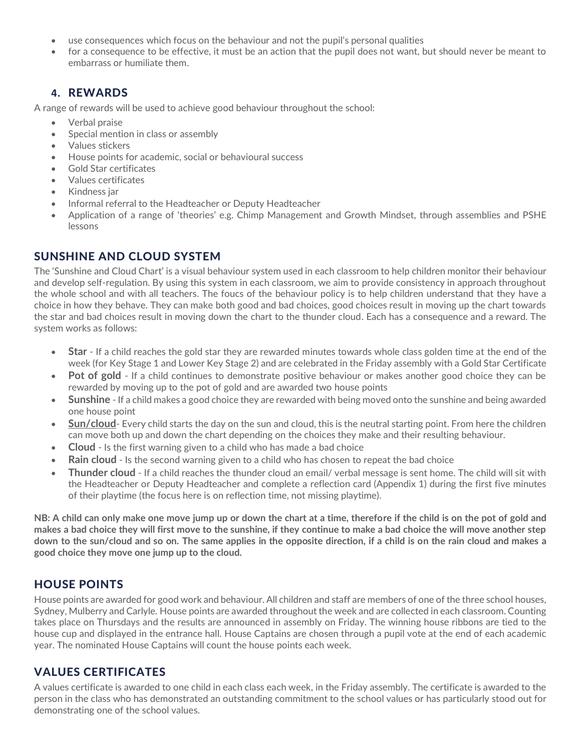- use consequences which focus on the behaviour and not the pupil's personal qualities
- for a consequence to be effective, it must be an action that the pupil does not want, but should never be meant to embarrass or humiliate them.

## **4.** REWARDS

A range of rewards will be used to achieve good behaviour throughout the school:

- Verbal praise
- Special mention in class or assembly
- Values stickers
- House points for academic, social or behavioural success
- Gold Star certificates
- Values certificates
- Kindness jar
- Informal referral to the Headteacher or Deputy Headteacher
- Application of a range of 'theories' e.g. Chimp Management and Growth Mindset, through assemblies and PSHE lessons

## SUNSHINE AND CLOUD SYSTEM

The 'Sunshine and Cloud Chart' is a visual behaviour system used in each classroom to help children monitor their behaviour and develop self-regulation. By using this system in each classroom, we aim to provide consistency in approach throughout the whole school and with all teachers. The foucs of the behaviour policy is to help children understand that they have a choice in how they behave. They can make both good and bad choices, good choices result in moving up the chart towards the star and bad choices result in moving down the chart to the thunder cloud. Each has a consequence and a reward. The system works as follows:

- **Star** If a child reaches the gold star they are rewarded minutes towards whole class golden time at the end of the week (for Key Stage 1 and Lower Key Stage 2) and are celebrated in the Friday assembly with a Gold Star Certificate
- **Pot of gold** If a child continues to demonstrate positive behaviour or makes another good choice they can be rewarded by moving up to the pot of gold and are awarded two house points
- **Sunshine** If a child makes a good choice they are rewarded with being moved onto the sunshine and being awarded one house point
- **Sun/cloud** Every child starts the day on the sun and cloud, this is the neutral starting point. From here the children can move both up and down the chart depending on the choices they make and their resulting behaviour.
- **Cloud**  Is the first warning given to a child who has made a bad choice
- **Rain cloud** Is the second warning given to a child who has chosen to repeat the bad choice
- **Thunder cloud** If a child reaches the thunder cloud an email/ verbal message is sent home. The child will sit with the Headteacher or Deputy Headteacher and complete a reflection card (Appendix 1) during the first five minutes of their playtime (the focus here is on reflection time, not missing playtime).

**NB: A child can only make one move jump up or down the chart at a time, therefore if the child is on the pot of gold and makes a bad choice they will first move to the sunshine, if they continue to make a bad choice the will move another step down to the sun/cloud and so on. The same applies in the opposite direction, if a child is on the rain cloud and makes a good choice they move one jump up to the cloud.**

## HOUSE POINTS

House points are awarded for good work and behaviour. All children and staff are members of one of the three school houses, Sydney, Mulberry and Carlyle. House points are awarded throughout the week and are collected in each classroom. Counting takes place on Thursdays and the results are announced in assembly on Friday. The winning house ribbons are tied to the house cup and displayed in the entrance hall. House Captains are chosen through a pupil vote at the end of each academic year. The nominated House Captains will count the house points each week.

## VALUES CERTIFICATES

A values certificate is awarded to one child in each class each week, in the Friday assembly. The certificate is awarded to the person in the class who has demonstrated an outstanding commitment to the school values or has particularly stood out for demonstrating one of the school values.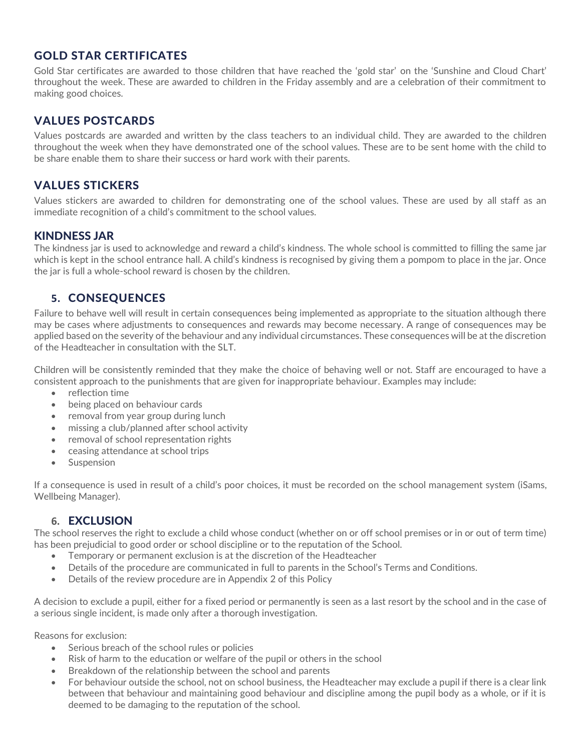## GOLD STAR CERTIFICATES

Gold Star certificates are awarded to those children that have reached the 'gold star' on the 'Sunshine and Cloud Chart' throughout the week. These are awarded to children in the Friday assembly and are a celebration of their commitment to making good choices.

## VALUES POSTCARDS

Values postcards are awarded and written by the class teachers to an individual child. They are awarded to the children throughout the week when they have demonstrated one of the school values. These are to be sent home with the child to be share enable them to share their success or hard work with their parents.

## VALUES STICKERS

Values stickers are awarded to children for demonstrating one of the school values. These are used by all staff as an immediate recognition of a child's commitment to the school values.

#### KINDNESS JAR

The kindness jar is used to acknowledge and reward a child's kindness. The whole school is committed to filling the same jar which is kept in the school entrance hall. A child's kindness is recognised by giving them a pompom to place in the jar. Once the jar is full a whole-school reward is chosen by the children.

## **5.** CONSEQUENCES

Failure to behave well will result in certain consequences being implemented as appropriate to the situation although there may be cases where adjustments to consequences and rewards may become necessary. A range of consequences may be applied based on the severity of the behaviour and any individual circumstances. These consequences will be at the discretion of the Headteacher in consultation with the SLT.

Children will be consistently reminded that they make the choice of behaving well or not. Staff are encouraged to have a consistent approach to the punishments that are given for inappropriate behaviour. Examples may include:

- reflection time
- being placed on behaviour cards
- removal from year group during lunch
- missing a club/planned after school activity
- removal of school representation rights
- ceasing attendance at school trips
- **Suspension**

If a consequence is used in result of a child's poor choices, it must be recorded on the school management system (iSams, Wellbeing Manager).

#### **6.** EXCLUSION

The school reserves the right to exclude a child whose conduct (whether on or off school premises or in or out of term time) has been prejudicial to good order or school discipline or to the reputation of the School.

- Temporary or permanent exclusion is at the discretion of the Headteacher
- Details of the procedure are communicated in full to parents in the School's Terms and Conditions.
- Details of the review procedure are in Appendix 2 of this Policy

A decision to exclude a pupil, either for a fixed period or permanently is seen as a last resort by the school and in the case of a serious single incident, is made only after a thorough investigation.

Reasons for exclusion:

- Serious breach of the school rules or policies
- Risk of harm to the education or welfare of the pupil or others in the school
- Breakdown of the relationship between the school and parents
- For behaviour outside the school, not on school business, the Headteacher may exclude a pupil if there is a clear link between that behaviour and maintaining good behaviour and discipline among the pupil body as a whole, or if it is deemed to be damaging to the reputation of the school.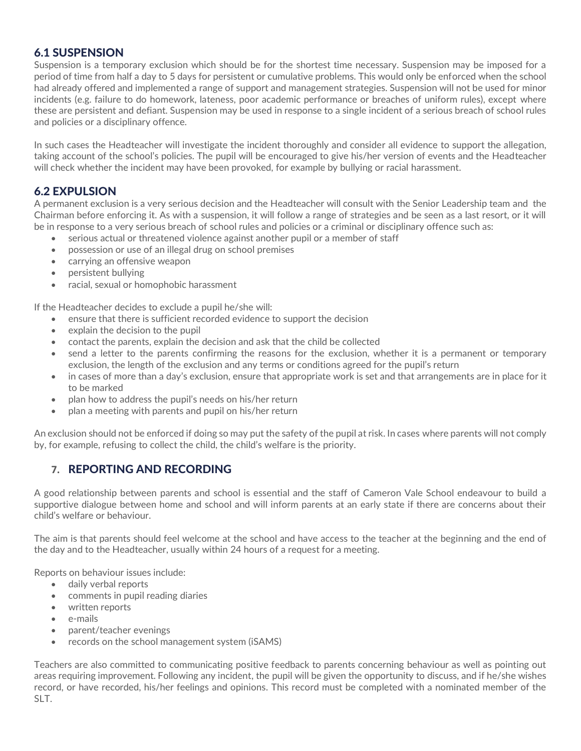### 6.1 SUSPENSION

Suspension is a temporary exclusion which should be for the shortest time necessary. Suspension may be imposed for a period of time from half a day to 5 days for persistent or cumulative problems. This would only be enforced when the school had already offered and implemented a range of support and management strategies. Suspension will not be used for minor incidents (e.g. failure to do homework, lateness, poor academic performance or breaches of uniform rules), except where these are persistent and defiant. Suspension may be used in response to a single incident of a serious breach of school rules and policies or a disciplinary offence.

In such cases the Headteacher will investigate the incident thoroughly and consider all evidence to support the allegation, taking account of the school's policies. The pupil will be encouraged to give his/her version of events and the Headteacher will check whether the incident may have been provoked, for example by bullying or racial harassment.

## 6.2 EXPULSION

A permanent exclusion is a very serious decision and the Headteacher will consult with the Senior Leadership team and the Chairman before enforcing it. As with a suspension, it will follow a range of strategies and be seen as a last resort, or it will be in response to a very serious breach of school rules and policies or a criminal or disciplinary offence such as:

- serious actual or threatened violence against another pupil or a member of staff
- possession or use of an illegal drug on school premises
- carrying an offensive weapon
- persistent bullying
- racial, sexual or homophobic harassment

If the Headteacher decides to exclude a pupil he/she will:

- ensure that there is sufficient recorded evidence to support the decision
- explain the decision to the pupil
- contact the parents, explain the decision and ask that the child be collected
- send a letter to the parents confirming the reasons for the exclusion, whether it is a permanent or temporary exclusion, the length of the exclusion and any terms or conditions agreed for the pupil's return
- in cases of more than a day's exclusion, ensure that appropriate work is set and that arrangements are in place for it to be marked
- plan how to address the pupil's needs on his/her return
- plan a meeting with parents and pupil on his/her return

An exclusion should not be enforced if doing so may put the safety of the pupil at risk. In cases where parents will not comply by, for example, refusing to collect the child, the child's welfare is the priority.

## **7.** REPORTING AND RECORDING

A good relationship between parents and school is essential and the staff of Cameron Vale School endeavour to build a supportive dialogue between home and school and will inform parents at an early state if there are concerns about their child's welfare or behaviour.

The aim is that parents should feel welcome at the school and have access to the teacher at the beginning and the end of the day and to the Headteacher, usually within 24 hours of a request for a meeting.

Reports on behaviour issues include:

- daily verbal reports
- comments in pupil reading diaries
- written reports
- e-mails
- parent/teacher evenings
- records on the school management system (iSAMS)

Teachers are also committed to communicating positive feedback to parents concerning behaviour as well as pointing out areas requiring improvement. Following any incident, the pupil will be given the opportunity to discuss, and if he/she wishes record, or have recorded, his/her feelings and opinions. This record must be completed with a nominated member of the SLT.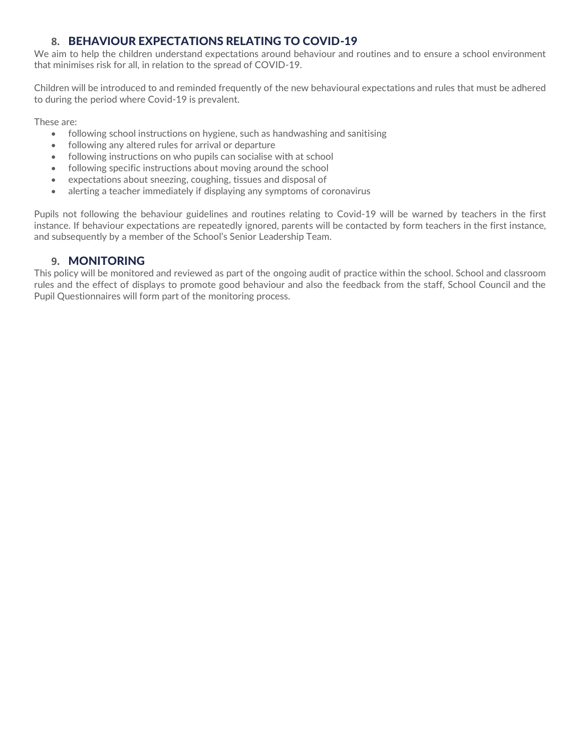## **8.** BEHAVIOUR EXPECTATIONS RELATING TO COVID-19

We aim to help the children understand expectations around behaviour and routines and to ensure a school environment that minimises risk for all, in relation to the spread of COVID-19.

Children will be introduced to and reminded frequently of the new behavioural expectations and rules that must be adhered to during the period where Covid-19 is prevalent.

These are:

- following school instructions on hygiene, such as handwashing and sanitising
- following any altered rules for arrival or departure
- following instructions on who pupils can socialise with at school
- following specific instructions about moving around the school
- expectations about sneezing, coughing, tissues and disposal of
- alerting a teacher immediately if displaying any symptoms of coronavirus

Pupils not following the behaviour guidelines and routines relating to Covid-19 will be warned by teachers in the first instance. If behaviour expectations are repeatedly ignored, parents will be contacted by form teachers in the first instance, and subsequently by a member of the School's Senior Leadership Team.

#### **9.** MONITORING

This policy will be monitored and reviewed as part of the ongoing audit of practice within the school. School and classroom rules and the effect of displays to promote good behaviour and also the feedback from the staff, School Council and the Pupil Questionnaires will form part of the monitoring process.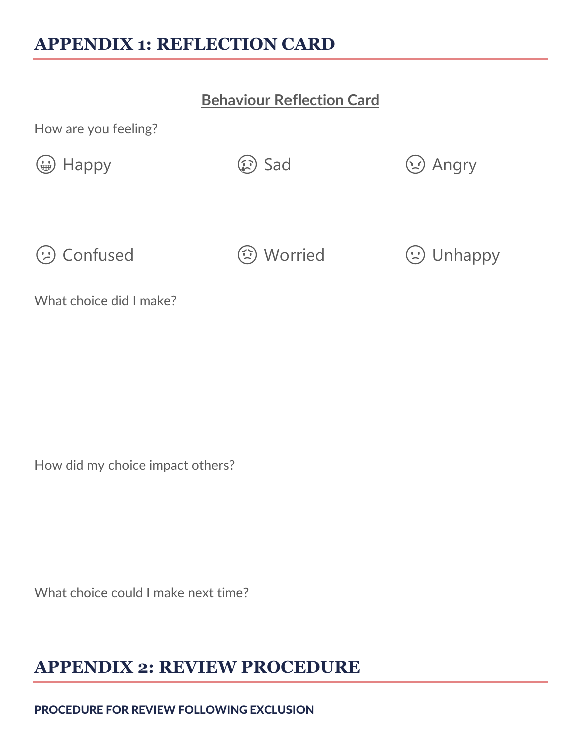# **APPENDIX 1: REFLECTION CARD**

## **Behaviour Reflection Card**

How are you feeling?

⊕ Happy ( G Sad ( G Angry

 $\odot$  Confused  $\odot$  Worried  $\odot$  Unhappy

What choice did I make?

How did my choice impact others?

What choice could I make next time?

# **APPENDIX 2: REVIEW PROCEDURE**

PROCEDURE FOR REVIEW FOLLOWING EXCLUSION